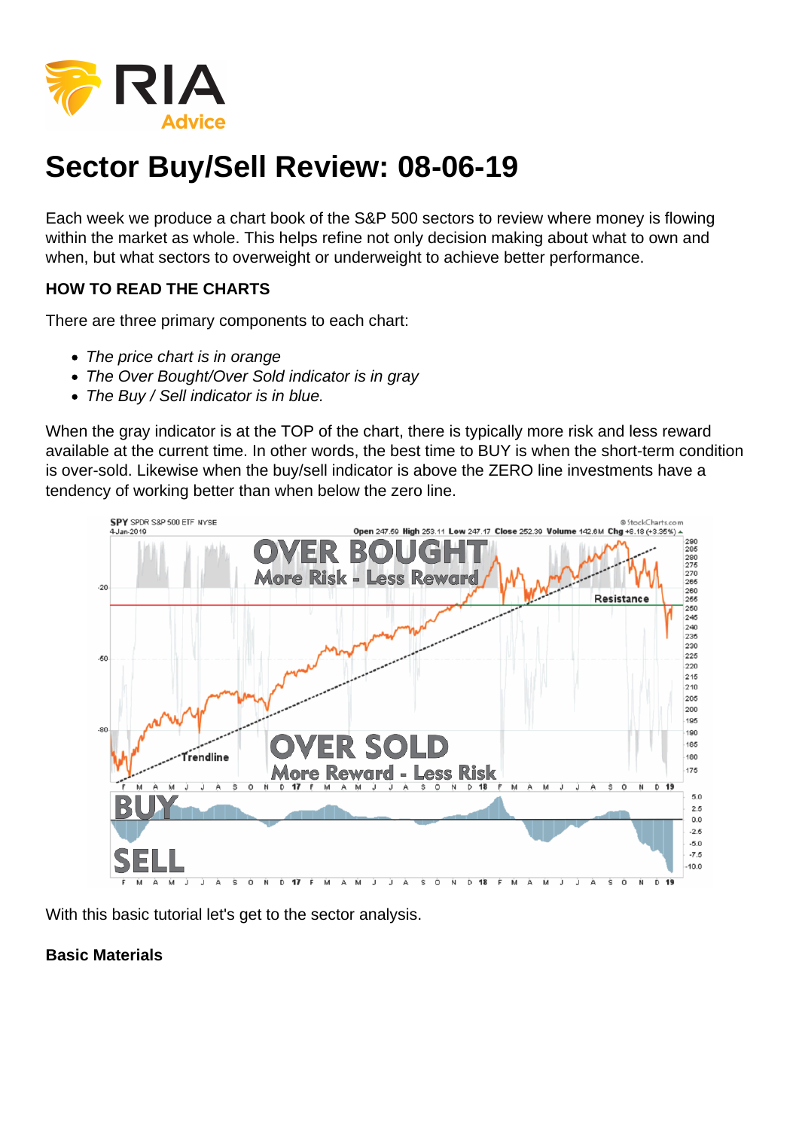## Sector Buy/Sell Review: 08-06-19

Each week we produce a chart book of the S&P 500 sectors to review where money is flowing within the market as whole. This helps refine not only decision making about what to own and when, but what sectors to overweight or underweight to achieve better performance.

HOW TO READ THE CHARTS

There are three primary components to each chart:

- The price chart is in orange
- The Over Bought/Over Sold indicator is in gray
- The Buy / Sell indicator is in blue.

When the gray indicator is at the TOP of the chart, there is typically more risk and less reward available at the current time. In other words, the best time to BUY is when the short-term condition is over-sold. Likewise when the buy/sell indicator is above the ZERO line investments have a tendency of working better than when below the zero line.

With this basic tutorial let's get to the sector analysis.

Basic Materials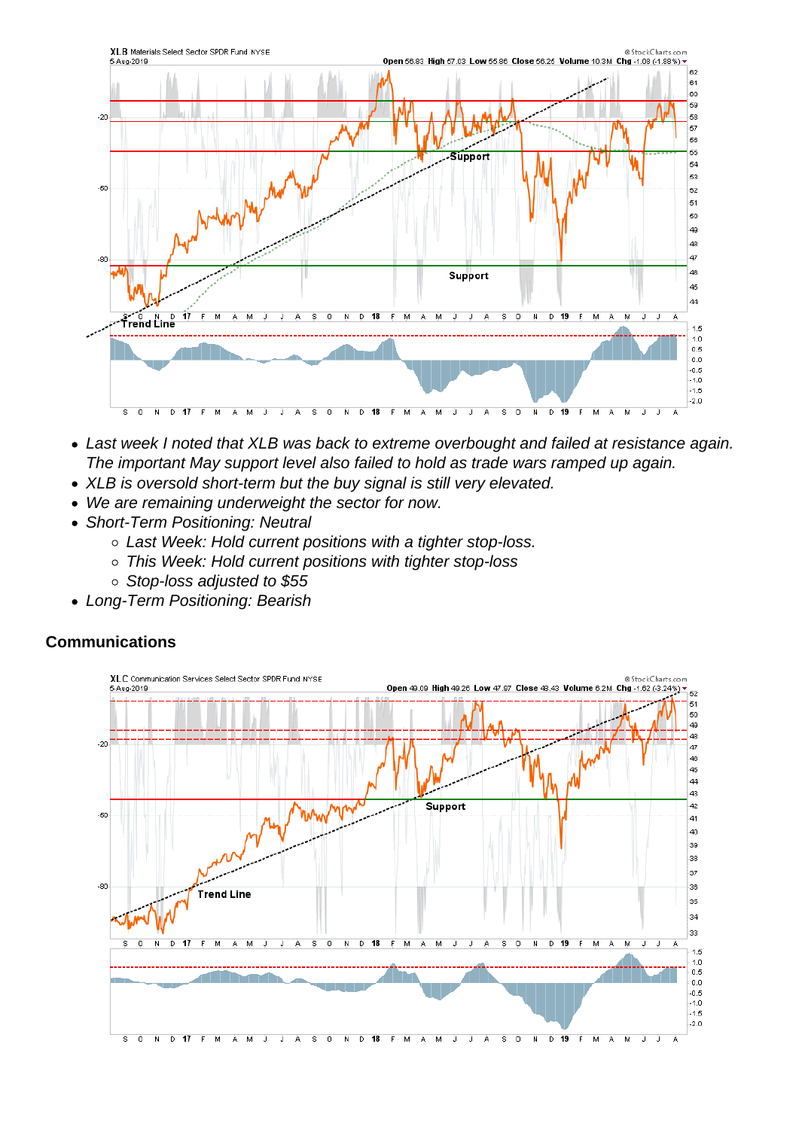- Last week I noted that XLB was back to extreme overbought and failed at resistance again. The important May support level also failed to hold as trade wars ramped up again.
- XLB is oversold short-term but the buy signal is still very elevated.
- We are remaining underweight the sector for now.
- Short-Term Positioning: Neutral
	- Last Week: Hold current positions with a tighter stop-loss.
	- This Week: Hold current positions with tighter stop-loss
	- Stop-loss adjusted to \$55
- Long-Term Positioning: Bearish

**Communications**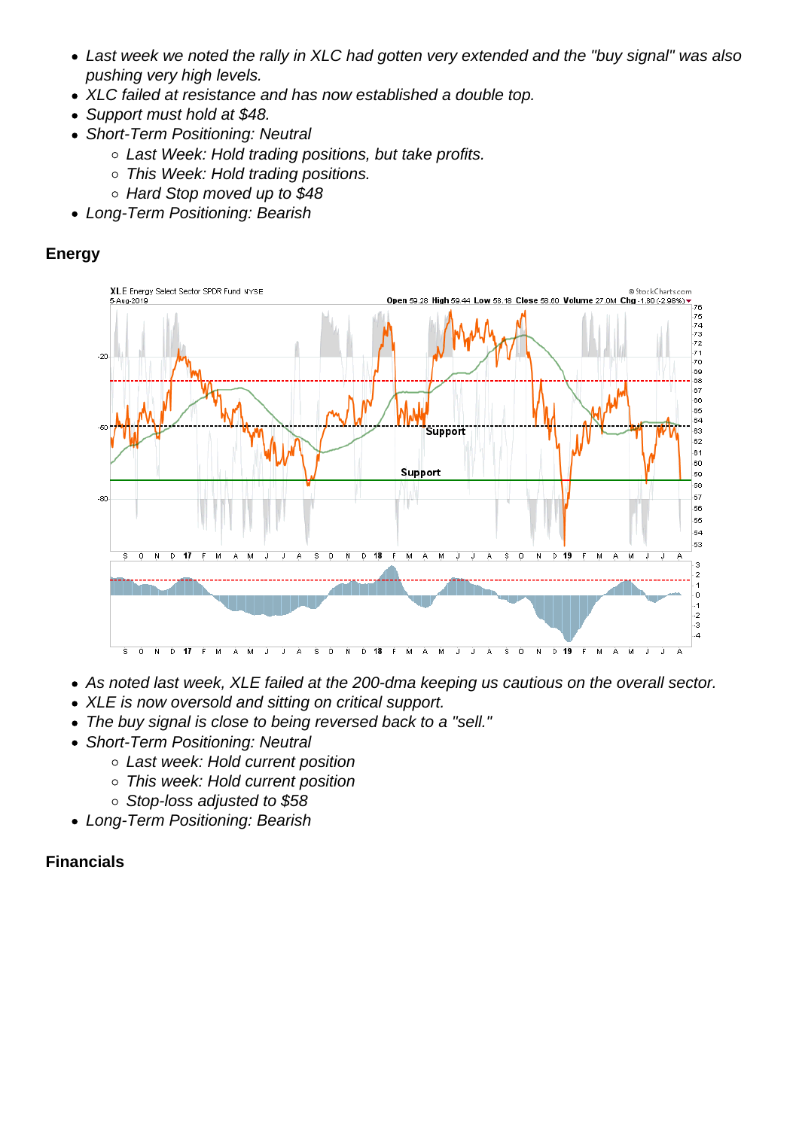- Last week we noted the rally in XLC had gotten very extended and the "buy signal" was also pushing very high levels.
- XLC failed at resistance and has now established a double top.
- Support must hold at \$48.
- Short-Term Positioning: Neutral
	- Last Week: Hold trading positions, but take profits.
	- o This Week: Hold trading positions.
	- Hard Stop moved up to \$48
- Long-Term Positioning: Bearish

Energy

- As noted last week, XLE failed at the 200-dma keeping us cautious on the overall sector.
- XLE is now oversold and sitting on critical support.
- The buy signal is close to being reversed back to a "sell."
- Short-Term Positioning: Neutral
	- Last week: Hold current position
	- This week: Hold current position
	- Stop-loss adjusted to \$58
- Long-Term Positioning: Bearish

Financials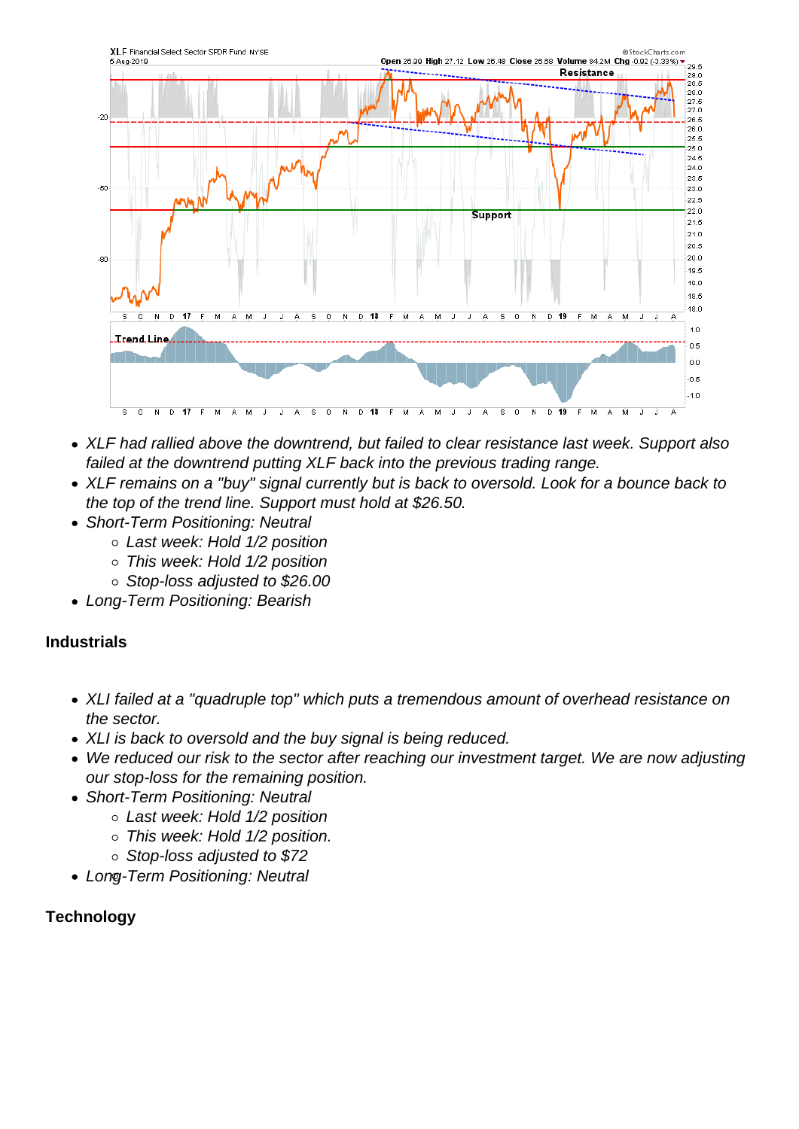- XLF had rallied above the downtrend, but failed to clear resistance last week. Support also failed at the downtrend putting XLF back into the previous trading range.
- XLF remains on a "buy" signal currently but is back to oversold. Look for a bounce back to the top of the trend line. Support must hold at \$26.50.
- Short-Term Positioning: Neutral
	- Last week: Hold 1/2 position
	- This week: Hold 1/2 position
	- Stop-loss adjusted to \$26.00
- Long-Term Positioning: Bearish

## Industrials

- XLI failed at a "quadruple top" which puts a tremendous amount of overhead resistance on the sector.
- XLI is back to oversold and the buy signal is being reduced.
- We reduced our risk to the sector after reaching our investment target. We are now adjusting our stop-loss for the remaining position.
- Short-Term Positioning: Neutral
	- Last week: Hold 1/2 position
	- This week: Hold 1/2 position.
	- o Stop-loss adjusted to \$72
- Long-Term Positioning: Neutral

**Technology**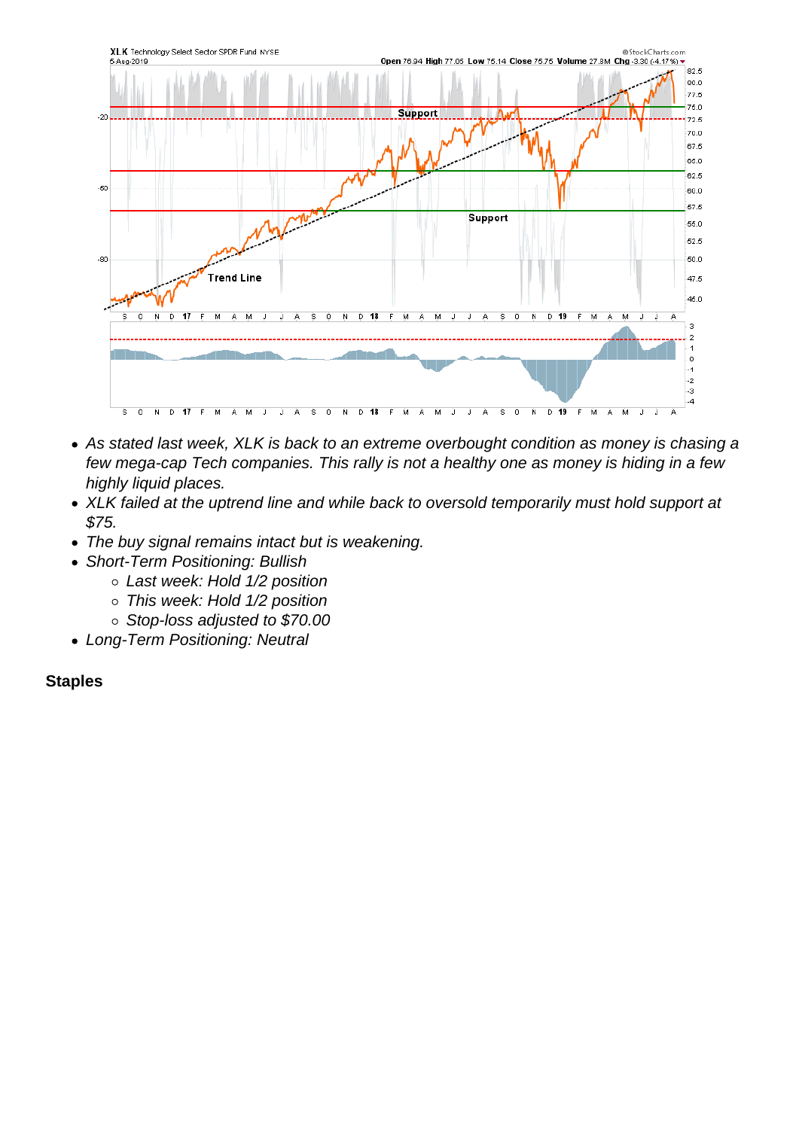- As stated last week, XLK is back to an extreme overbought condition as money is chasing a few mega-cap Tech companies. This rally is not a healthy one as money is hiding in a few highly liquid places.
- XLK failed at the uptrend line and while back to oversold temporarily must hold support at \$75.
- The buy signal remains intact but is weakening.
- Short-Term Positioning: Bullish
	- Last week: Hold 1/2 position
	- o This week: Hold 1/2 position
	- o Stop-loss adjusted to \$70.00
- Long-Term Positioning: Neutral

**Staples**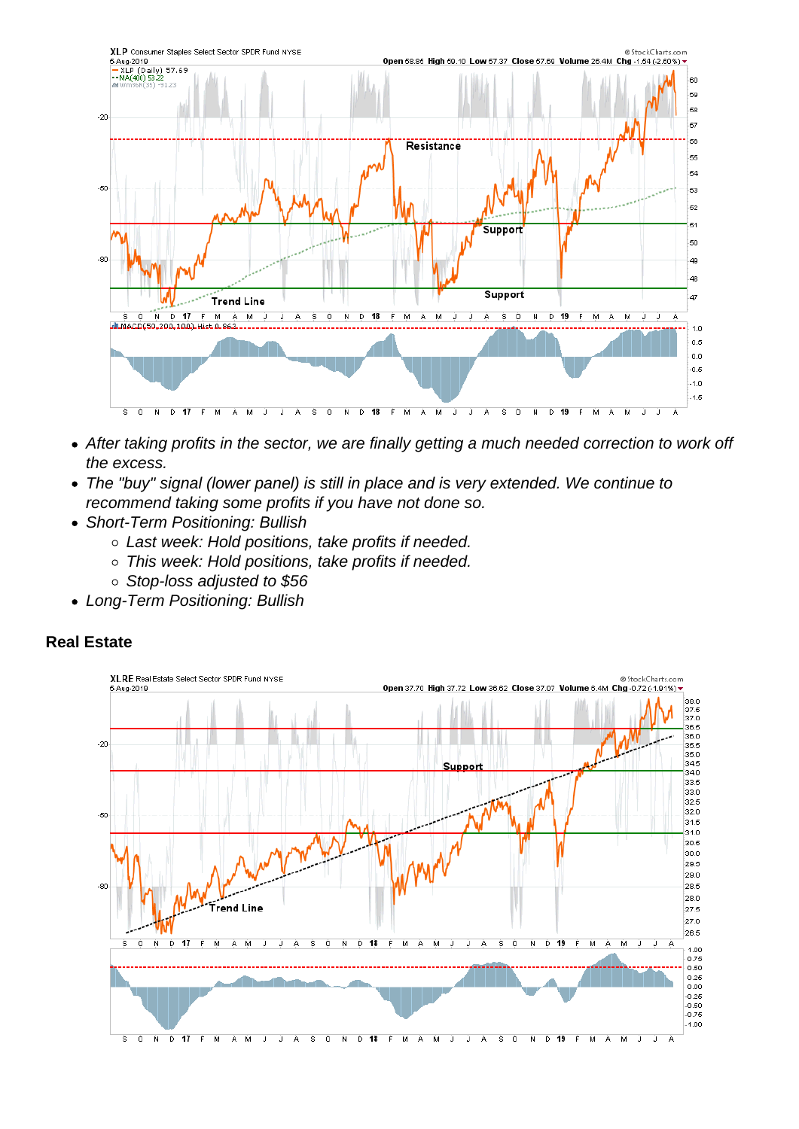- After taking profits in the sector, we are finally getting a much needed correction to work off the excess.
- The "buy" signal (lower panel) is still in place and is very extended. We continue to recommend taking some profits if you have not done so.
- Short-Term Positioning: Bullish
	- Last week: Hold positions, take profits if needed.
	- This week: Hold positions, take profits if needed.
	- Stop-loss adjusted to \$56
- Long-Term Positioning: Bullish

Real Estate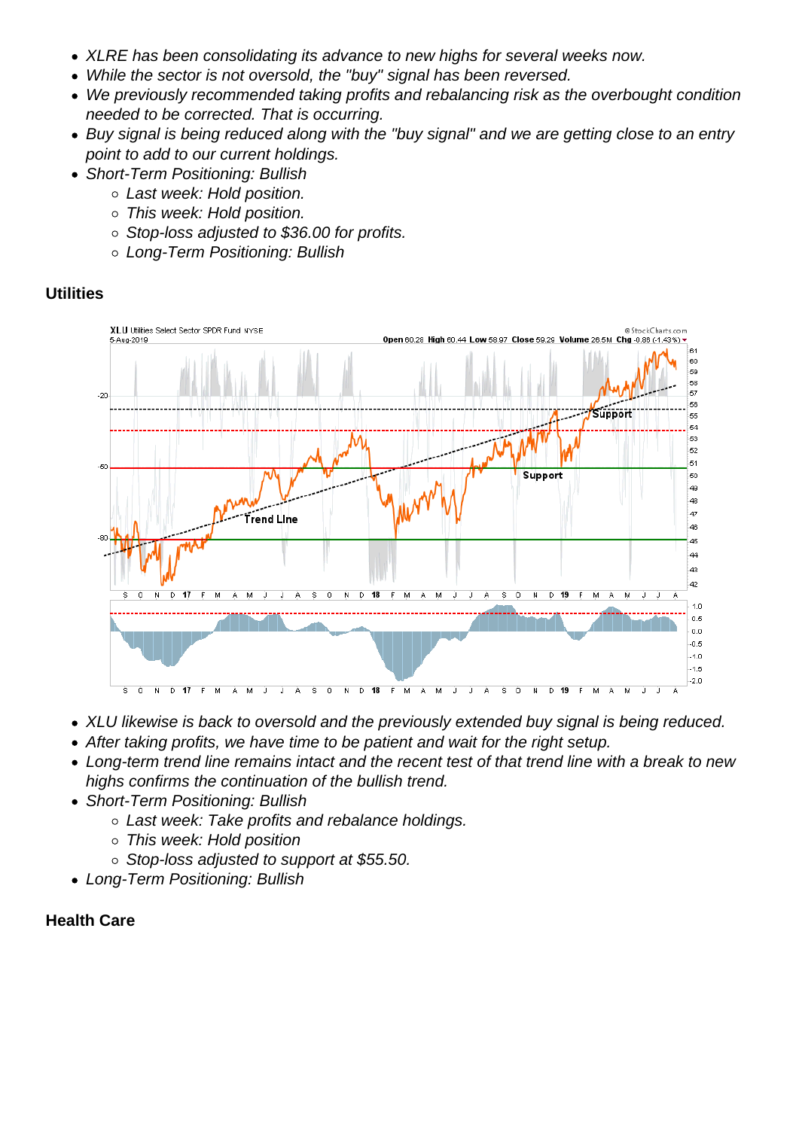- XLRE has been consolidating its advance to new highs for several weeks now.
- While the sector is not oversold, the "buy" signal has been reversed.
- We previously recommended taking profits and rebalancing risk as the overbought condition needed to be corrected. That is occurring.
- Buy signal is being reduced along with the "buy signal" and we are getting close to an entry point to add to our current holdings.
- Short-Term Positioning: Bullish
	- Last week: Hold position.
	- This week: Hold position.
	- Stop-loss adjusted to \$36.00 for profits.
	- Long-Term Positioning: Bullish

## **Utilities**

- XLU likewise is back to oversold and the previously extended buy signal is being reduced.
- After taking profits, we have time to be patient and wait for the right setup.
- Long-term trend line remains intact and the recent test of that trend line with a break to new highs confirms the continuation of the bullish trend.
- Short-Term Positioning: Bullish
	- o Last week: Take profits and rebalance holdings.
	- This week: Hold position
	- Stop-loss adjusted to support at \$55.50.
- Long-Term Positioning: Bullish

Health Care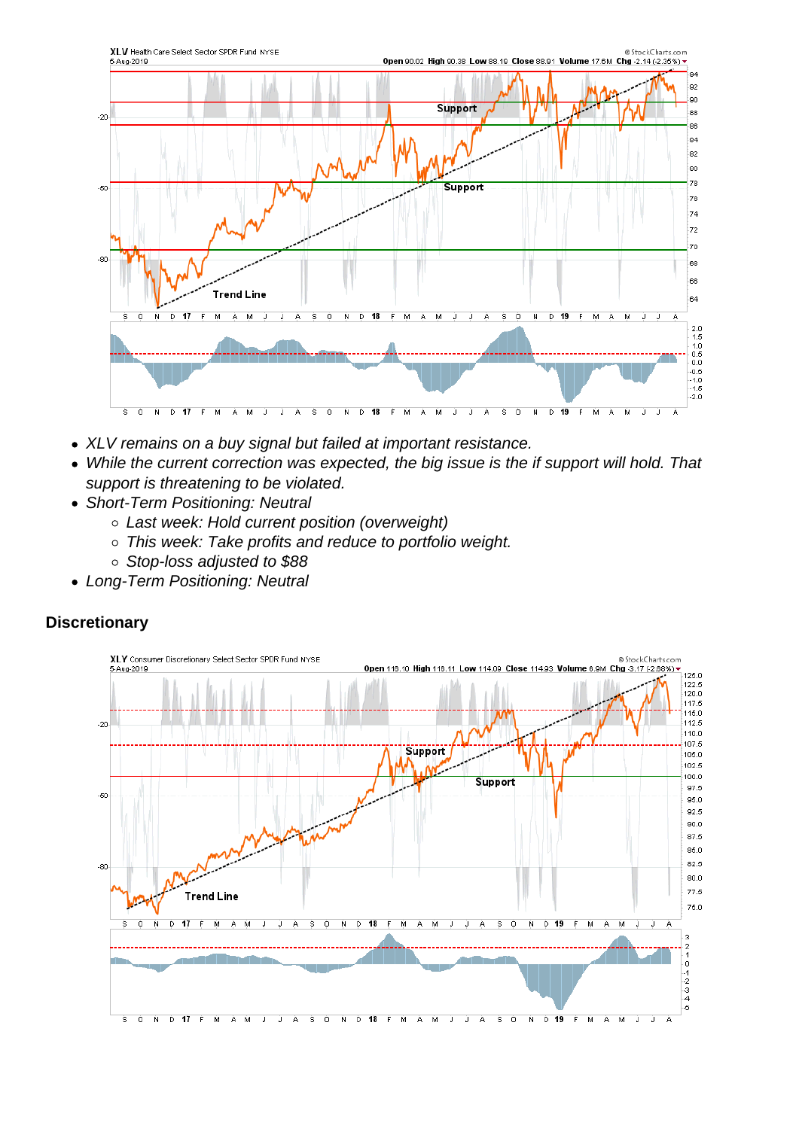- XLV remains on a buy signal but failed at important resistance.
- While the current correction was expected, the big issue is the if support will hold. That support is threatening to be violated.
- Short-Term Positioning: Neutral
	- Last week: Hold current position (overweight)
	- This week: Take profits and reduce to portfolio weight.
	- Stop-loss adjusted to \$88
- Long-Term Positioning: Neutral

**Discretionary**